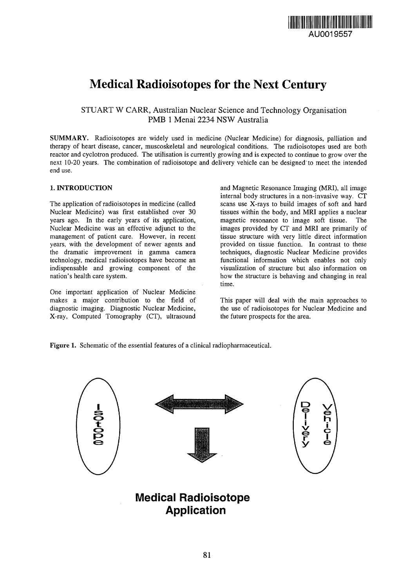

# Medical Radioisotopes for the Next Century

STUART W CARR, Australian Nuclear Science and Technology Organisation PMB 1 Menai 2234 NSW Australia

SUMMARY. Radioisotopes are widely used in medicine (Nuclear Medicine) for diagnosis, palliation and therapy of heart disease, cancer, muscoskeletal and neurological conditions. The radioisotopes used are both reactor and cyclotron produced. The utilisation is currently growing and is expected to continue to grow over the next 10-20 years. The combination of radioisotope and delivery vehicle can be designed'to meet the intended end use.

## 1. INTRODUCTION

The application of radioisotopes in medicine (called Nuclear Medicine) was first established over 30 years ago. In the early years of its application, Nuclear Medicine was an effective adjunct to the management of patient care. However, in recent years, with the development of newer agents and the dramatic improvement in gamma camera technology, medical radioisotopes have become an indispensable and growing component of the nation's health care system.

One important application of Nuclear Medicine makes a major contribution to the field of diagnostic imaging. Diagnostic Nuclear Medicine, X-ray, Computed Tomography (CT), ultrasound and Magnetic Resonance Imaging (MRI), all image internal body structures in a non-invasive way. CT scans use X-rays to build images of soft and hard tissues within the body, and MRI applies a nuclear magnetic resonance to image soft tissue. The images provided by CT and MRI are primarily of tissue structure with very little direct information provided on tissue function. In contrast to these techniques, diagnostic Nuclear Medicine provides functional information which enables not only visualization of structure but also information on how the structure is behaving and changing in real time.

This paper will deal with the main approaches to the use of radioisotopes for Nuclear Medicine and the future prospects for the area.

Figure 1. Schematic of the essential features of a clinical radiopharmaceutical.



# **Application**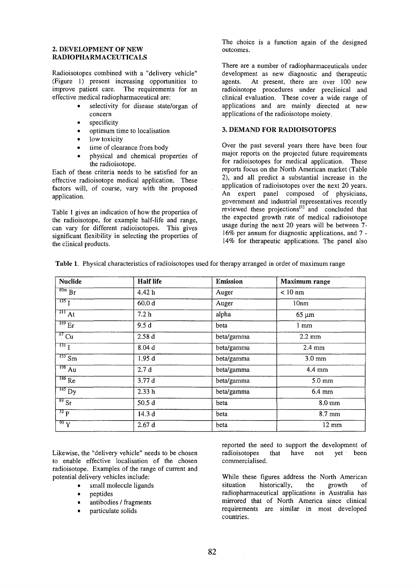#### **2. DEVELOPMENT OF NEW RADIOPHARMACEUTICALS**

Radioisotopes combined with a "delivery vehicle" (Figure 1) present increasing opportunities to improve patient care. The requirements for an effective medical radiopharmaceutical are:

- selectivity for disease state/organ of concern
- specificity
- optimum time to localisation
- low toxicity
- time of clearance from body
- physical and chemical properties of the radioisotope.

Each of these criteria needs to be satisfied for an effective radioisotope medical application. These factors will, of course, vary with the proposed application.

Table 1 gives an indication of how the properties of the radioisotope, for example half-life and range, can vary for different radioisotopes. This gives significant flexibility in selecting the properties of the clinical products.

The choice is a function again of the designed outcomes.

There are a number of radiopharmaceuticals under development as new diagnostic and therapeutic<br>agents. At present, there are over 100 new At present, there are over 100 new radioisotope procedures under preclinical and clinical evaluation. These cover a wide range of applications and are mainly directed at new applications of the radioisotope moiety.

#### **3. DEMAND FOR RADIOISOTOPES**

Over the past several years there have been four major reports on the projected future requirements for radioisotopes for medical application. These reports focus on the North American market (Table 2), and all predict a substantial increase in the application of radioisotopes over the next 20 years. An expert panel composed of physicians, government and industrial representatives recently reviewed these projections<sup>[1]</sup> and concluded that the expected growth rate of medical radioisotope usage during the next 20 years will be between 7- 16% per annum for diagnostic applications, and 7 - 14% for therapeutic applications. The panel also

| <b>Nuclide</b>          | <b>Half</b> life  | <b>Emission</b> | Maximum range    |
|-------------------------|-------------------|-----------------|------------------|
| $\frac{80m}{Br}$        | 4.42 h            | Auger           | $< 10$ nm        |
| $\frac{125}{1}$         | 60.0 <sub>d</sub> | Auger           | 10nm             |
| $\sqrt{2H_{\text{A}}t}$ | 7.2 <sub>h</sub>  | alpha           | $65 \mu m$       |
| $^{169}$ Er             | 9.5d              | beta            | 1 <sub>mm</sub>  |
| $rac{67}{c}$ Cu         | 2.58d             | beta/gamma      | $2.2 \text{ mm}$ |
| $\frac{131}{1}$         | 8.04 d            | beta/gamma      | $2.4 \text{ mm}$ |
| $\frac{153}{5}$ Sm      | 1.95d             | beta/gamma      | $3.0 \text{ mm}$ |
| $\overline{^{198}$ Au   | 2.7d              | beta/gamma      | $4.4 \text{ mm}$ |
| $186$ Re                | 3.77 d            | beta/gamma      | $5.0 \text{ mm}$ |
| $165$ Dy                | 2.33h             | beta/gamma      | 6.4 mm           |
| $\frac{89}{5r}$         | 50.5 d            | beta            | $8.0 \text{ mm}$ |
| 32 p                    | 14.3d             | beta            | 8.7 mm           |
| $\overline{90}$ Y       | 2.67d             | beta            | $12 \text{ mm}$  |

Likewise, the "delivery vehicle" needs to be chosen to enable effective localisation of the chosen radioisotope. Examples of the range of current and potential delivery vehicles include:

- small molecule ligands
- peptides
- antibodies / fragments
- particulate solids

reported the need to support the development of radioisotopes that have not yet been commercialised.

While these figures address the North American situation historically, the growth of radiopharmaceutical applications in Australia has mirrored that of North America since clinical requirements are similar in most developed countries.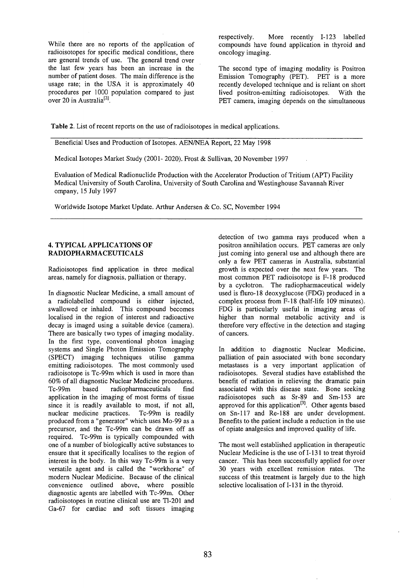While there are no reports of the application of radioisotopes for specific medical conditions, there are general trends of use. The general trend over the last few years has been an increase in the number of patient doses. The main difference is the usage rate; in the USA it is approximately 40 procedures per 1000 population compared to just over 20 in Australia<sup>[2]</sup>.

respectively. More recently 1-123 labelled compounds have found application in thyroid and oncology imaging.

The second type of imaging modality is Positron Emission Tomography (PET). PET is a more recently developed technique and is reliant on short lived positron-emitting radioisotopes. With the PET camera, imaging depends on the simultaneous

**Table** 2. List of recent reports on the use of radioisotopes in medical applications.

Beneficial Uses and Production of Isotopes. AEN/NEA Report, 22 May 1998

Medical Isotopes Market Study (2001- 2020). Frost & Sullivan, 20 November 1997

Evaluation of Medical Radionuclide Production with the Accelerator Production of Tritium (APT) Facility Medical University of South Carolina, University of South Carolina and Westinghouse Savannah River ompany, 15 July 1997

Worldwide Isotope Market Update. Arthur Andersen & Co. SC, November 1994

#### **4. TYPICAL APPLICATIONS OF RADIOPHARMACEUTICALS**

Radioisotopes find application in three medical areas, namely for diagnosis, palliation or therapy.

In diagnostic Nuclear Medicine, a small amount of a radiolabelled compound is either injected, swallowed or inhaled. This compound becomes localised in the region of interest and radioactive decay is imaged using a suitable device (camera). There are basically two types of imaging modality. In the first type, conventional photon imaging systems and Single Photon Emission Tomography (SPECT) imaging techniques utilise gamma emitting radioisotopes. The most commonly used radioisotope is Tc-99m which is used in more than 60% of all diagnostic Nuclear Medicine procedures. Tc-99m based radiopharmaceuticals find application in the imaging of most forms of tissue since it is readily available to most, if not all, nuclear medicine practices. Tc-99m is readily produced from a "generator" which uses Mo-99 as a precursor, and the Tc-99m can be drawn off as required. Tc-99m is typically compounded with one of a number of biologically active substances to ensure that it specifically localises to the region of interest in the body. In this way Tc-99m is a very versatile agent and is called the "workhorse" of modern Nuclear Medicine. Because of the clinical convenience outlined above, where possible diagnostic agents are labelled with Tc-99m. Other radioisotopes in routine clinical use are Tl-201 and Ga-67 for cardiac and soft tissues imaging detection of two gamma rays produced when a positron annihilation occurs. PET cameras are only just coming into general use and although there are only a few PET cameras in Australia, substantial growth is expected over the next few years. The most common PET radioisotope is F-18 produced by a cyclotron. The radiopharmaceutical widely used is fluro-18 deoxyglucose (FDG) produced in a complex process from F-18 (half-life 109 minutes). FDG is particularly useful in imaging areas of higher than normal metabolic activity and is therefore very effective in the detection and staging of cancers.

In addition to diagnostic Nuclear Medicine, palliation of pain associated with bone secondary metastases is a very important application of radioisotopes. Several studies have established the benefit of radiation in relieving the dramatic pain associated with this disease state. Bone seeking radioisotopes such as Sr-89 and Sm-153 are approved for this application<sup>[3]</sup>. Other agents based on Sn-117 and Re-188 are under development. Benefits to the patient include a reduction in the use of opiate analgesics and improved quality of life.

The most well established application in therapeutic Nuclear Medicine is the use of 1-131 to treat thyroid cancer. This has been successfully applied for over 30 years with excellent remission rates. The success of this treatment is largely due to the high selective localisation of 1-131 in the thyroid.